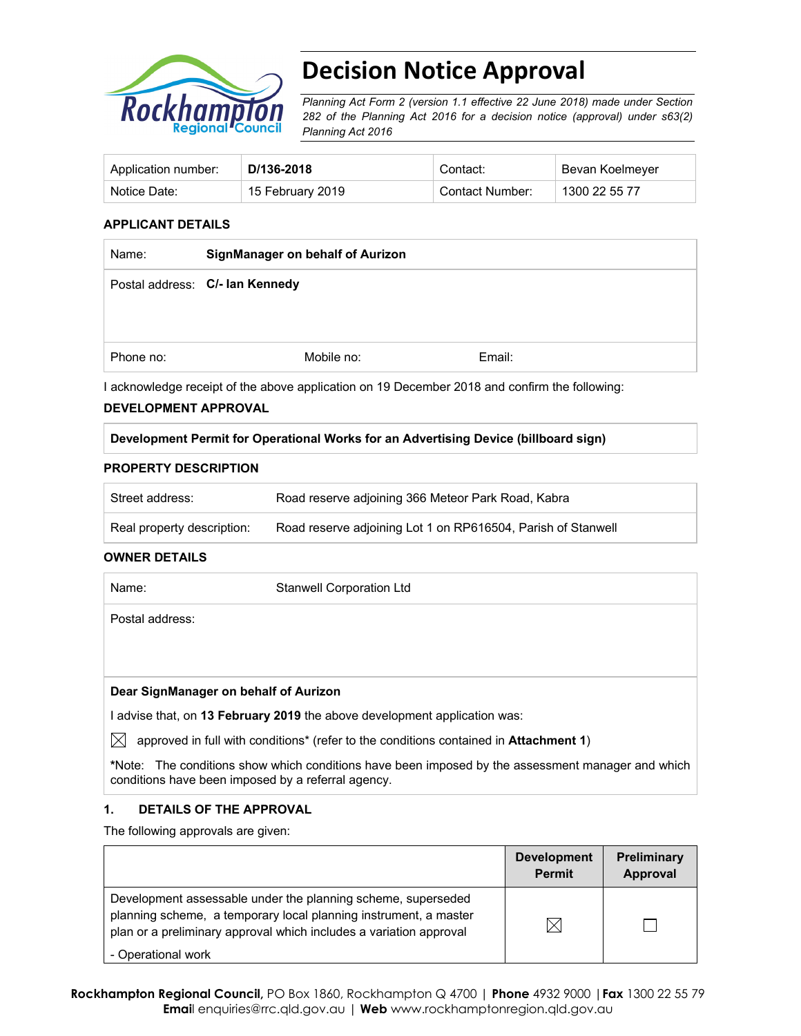

# **Decision Notice Approval**

*Planning Act Form 2 (version 1.1 effective 22 June 2018) made under Section 282 of the Planning Act 2016 for a decision notice (approval) under s63(2) Planning Act 2016*

| Application number: | D/136-2018       | Contact:        | Bevan Koelmeyer |
|---------------------|------------------|-----------------|-----------------|
| Notice Date:        | 15 February 2019 | Contact Number: | 1300 22 55 77   |

#### **APPLICANT DETAILS**

| SignManager on behalf of Aurizon |  |            |
|----------------------------------|--|------------|
| Postal address: C/- Ian Kennedy  |  |            |
|                                  |  |            |
|                                  |  |            |
|                                  |  | Email:     |
|                                  |  | Mobile no: |

I acknowledge receipt of the above application on 19 December 2018 and confirm the following:

#### **DEVELOPMENT APPROVAL**

#### **Development Permit for Operational Works for an Advertising Device (billboard sign)**

#### **PROPERTY DESCRIPTION**

| Street address:            | Road reserve adjoining 366 Meteor Park Road, Kabra           |
|----------------------------|--------------------------------------------------------------|
| Real property description: | Road reserve adjoining Lot 1 on RP616504, Parish of Stanwell |

#### **OWNER DETAILS**

| Name:           | <b>Stanwell Corporation Ltd</b>                                                       |
|-----------------|---------------------------------------------------------------------------------------|
| Postal address: |                                                                                       |
|                 |                                                                                       |
|                 |                                                                                       |
|                 | Dear SignManager on behalf of Aurizon                                                 |
|                 | advise that, on 13 February 2019 the above development application was:               |
|                 | approved in full with conditions* (refer to the conditions contained in Attachment 1) |

**\***Note:The conditions show which conditions have been imposed by the assessment manager and which conditions have been imposed by a referral agency.

#### **1. DETAILS OF THE APPROVAL**

The following approvals are given:

|                                                                                                                                                                                                        | <b>Development</b><br><b>Permit</b> | <b>Preliminary</b><br>Approval |
|--------------------------------------------------------------------------------------------------------------------------------------------------------------------------------------------------------|-------------------------------------|--------------------------------|
| Development assessable under the planning scheme, superseded<br>planning scheme, a temporary local planning instrument, a master<br>plan or a preliminary approval which includes a variation approval | IX                                  |                                |
| - Operational work                                                                                                                                                                                     |                                     |                                |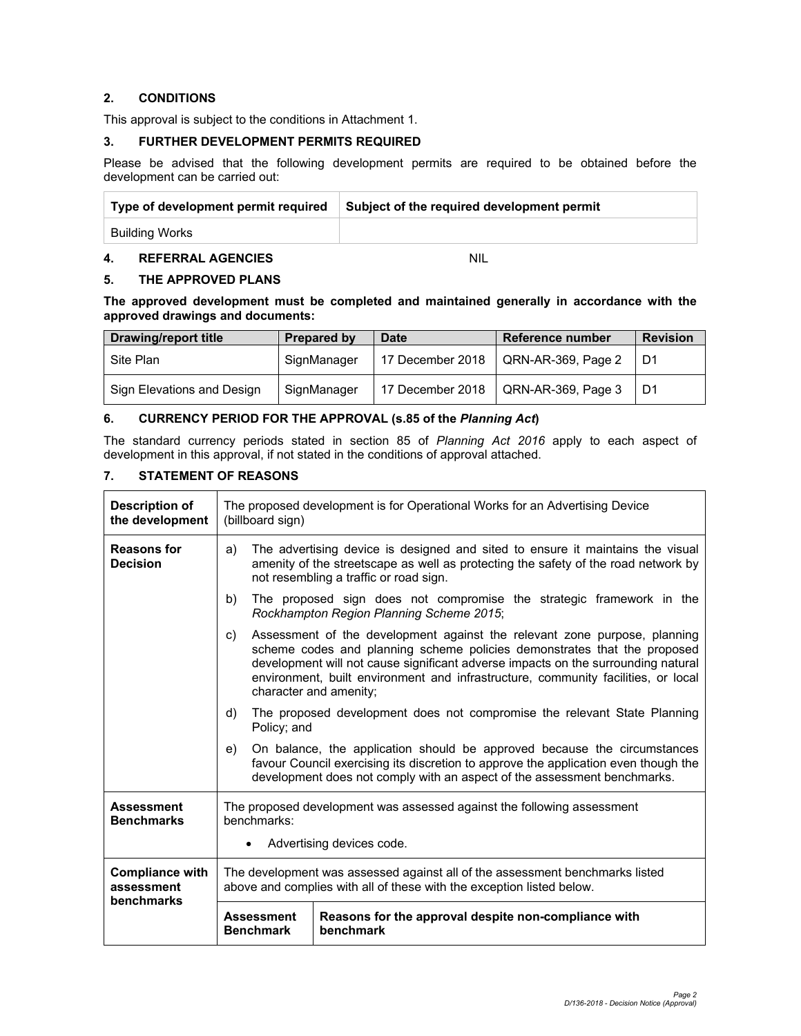#### **2. CONDITIONS**

This approval is subject to the conditions in Attachment 1.

#### **3. FURTHER DEVELOPMENT PERMITS REQUIRED**

Please be advised that the following development permits are required to be obtained before the development can be carried out:

| Type of development permit required | Subject of the required development permit |
|-------------------------------------|--------------------------------------------|
| Building Works                      |                                            |

#### **4. REFERRAL AGENCIES** NIL

#### **5. THE APPROVED PLANS**

**The approved development must be completed and maintained generally in accordance with the approved drawings and documents:** 

| Drawing/report title       | Prepared by | <b>Date</b>      | Reference number   | <b>Revision</b> |
|----------------------------|-------------|------------------|--------------------|-----------------|
| Site Plan                  | SignManager | 17 December 2018 | QRN-AR-369, Page 2 | D1              |
| Sign Elevations and Design | SignManager | 17 December 2018 | QRN-AR-369, Page 3 | D1              |

#### **6. CURRENCY PERIOD FOR THE APPROVAL (s.85 of the** *Planning Act***)**

The standard currency periods stated in section 85 of *Planning Act 2016* apply to each aspect of development in this approval, if not stated in the conditions of approval attached.

### **7. STATEMENT OF REASONS**

| <b>Description of</b><br>the development | The proposed development is for Operational Works for an Advertising Device<br>(billboard sign)                                                                                                                                                                                                                                                                 |  |  |  |
|------------------------------------------|-----------------------------------------------------------------------------------------------------------------------------------------------------------------------------------------------------------------------------------------------------------------------------------------------------------------------------------------------------------------|--|--|--|
| <b>Reasons for</b><br><b>Decision</b>    | The advertising device is designed and sited to ensure it maintains the visual<br>a)<br>amenity of the streetscape as well as protecting the safety of the road network by<br>not resembling a traffic or road sign.                                                                                                                                            |  |  |  |
|                                          | The proposed sign does not compromise the strategic framework in the<br>b)<br>Rockhampton Region Planning Scheme 2015;                                                                                                                                                                                                                                          |  |  |  |
|                                          | Assessment of the development against the relevant zone purpose, planning<br>C)<br>scheme codes and planning scheme policies demonstrates that the proposed<br>development will not cause significant adverse impacts on the surrounding natural<br>environment, built environment and infrastructure, community facilities, or local<br>character and amenity; |  |  |  |
|                                          | The proposed development does not compromise the relevant State Planning<br>d)<br>Policy; and                                                                                                                                                                                                                                                                   |  |  |  |
|                                          | On balance, the application should be approved because the circumstances<br>e)<br>favour Council exercising its discretion to approve the application even though the<br>development does not comply with an aspect of the assessment benchmarks.                                                                                                               |  |  |  |
| <b>Assessment</b><br><b>Benchmarks</b>   | The proposed development was assessed against the following assessment<br>benchmarks:<br>Advertising devices code.                                                                                                                                                                                                                                              |  |  |  |
| <b>Compliance with</b><br>assessment     | The development was assessed against all of the assessment benchmarks listed<br>above and complies with all of these with the exception listed below.                                                                                                                                                                                                           |  |  |  |
| benchmarks                               | Reasons for the approval despite non-compliance with<br><b>Assessment</b><br>benchmark<br><b>Benchmark</b>                                                                                                                                                                                                                                                      |  |  |  |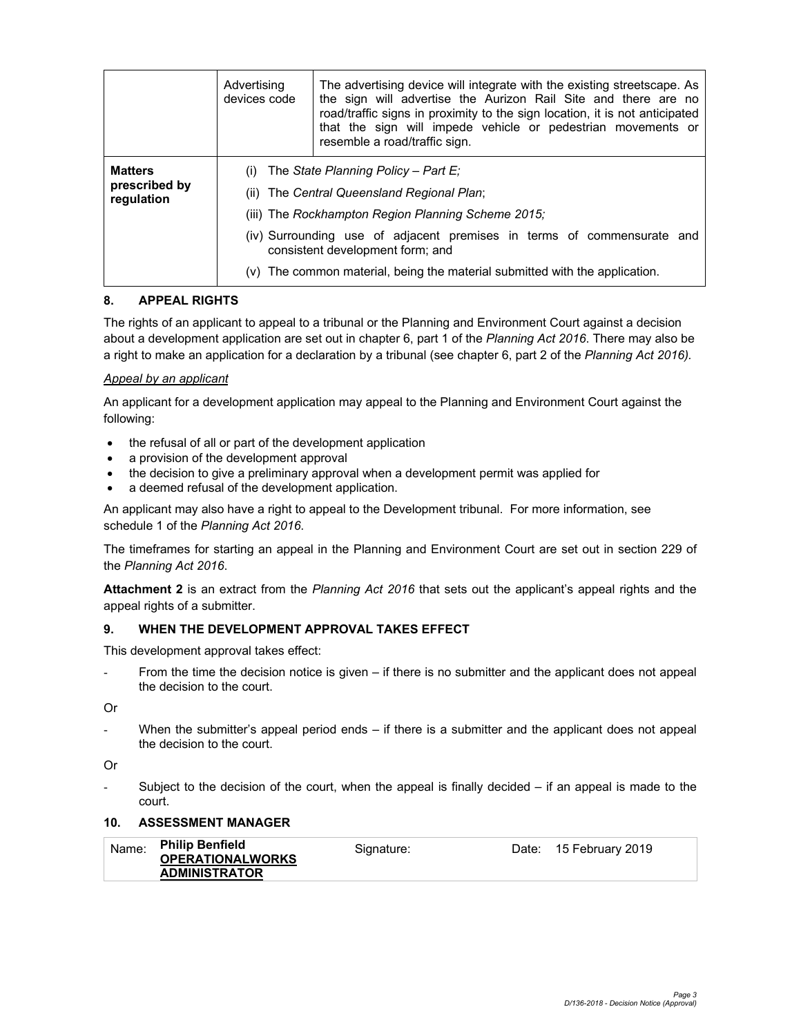|                                               | Advertising<br>devices code | The advertising device will integrate with the existing streetscape. As<br>the sign will advertise the Aurizon Rail Site and there are no<br>road/traffic signs in proximity to the sign location, it is not anticipated<br>that the sign will impede vehicle or pedestrian movements or<br>resemble a road/traffic sign.              |
|-----------------------------------------------|-----------------------------|----------------------------------------------------------------------------------------------------------------------------------------------------------------------------------------------------------------------------------------------------------------------------------------------------------------------------------------|
| <b>Matters</b><br>prescribed by<br>regulation | (i)                         | The State Planning Policy – Part E:<br>(ii) The Central Queensland Regional Plan;<br>(iii) The Rockhampton Region Planning Scheme 2015;<br>(iv) Surrounding use of adjacent premises in terms of commensurate and<br>consistent development form; and<br>$(v)$ The common material, being the material submitted with the application. |

#### **8. APPEAL RIGHTS**

The rights of an applicant to appeal to a tribunal or the Planning and Environment Court against a decision about a development application are set out in chapter 6, part 1 of the *Planning Act 2016*. There may also be a right to make an application for a declaration by a tribunal (see chapter 6, part 2 of the *Planning Act 2016).*

#### *Appeal by an applicant*

An applicant for a development application may appeal to the Planning and Environment Court against the following:

- the refusal of all or part of the development application
- a provision of the development approval
- the decision to give a preliminary approval when a development permit was applied for
- a deemed refusal of the development application.

An applicant may also have a right to appeal to the Development tribunal. For more information, see schedule 1 of the *Planning Act 2016*.

The timeframes for starting an appeal in the Planning and Environment Court are set out in section 229 of the *Planning Act 2016*.

**Attachment 2** is an extract from the *Planning Act 2016* that sets out the applicant's appeal rights and the appeal rights of a submitter.

#### **9. WHEN THE DEVELOPMENT APPROVAL TAKES EFFECT**

This development approval takes effect:

From the time the decision notice is given – if there is no submitter and the applicant does not appeal the decision to the court.

Or

When the submitter's appeal period ends  $-$  if there is a submitter and the applicant does not appeal the decision to the court.

Or

Subject to the decision of the court, when the appeal is finally decided  $-$  if an appeal is made to the court.

#### **10. ASSESSMENT MANAGER**

| Name: Philip Benfield   | Signature: | Date: 15 February 2019 |
|-------------------------|------------|------------------------|
| <b>OPERATIONALWORKS</b> |            |                        |
| <b>ADMINISTRATOR</b>    |            |                        |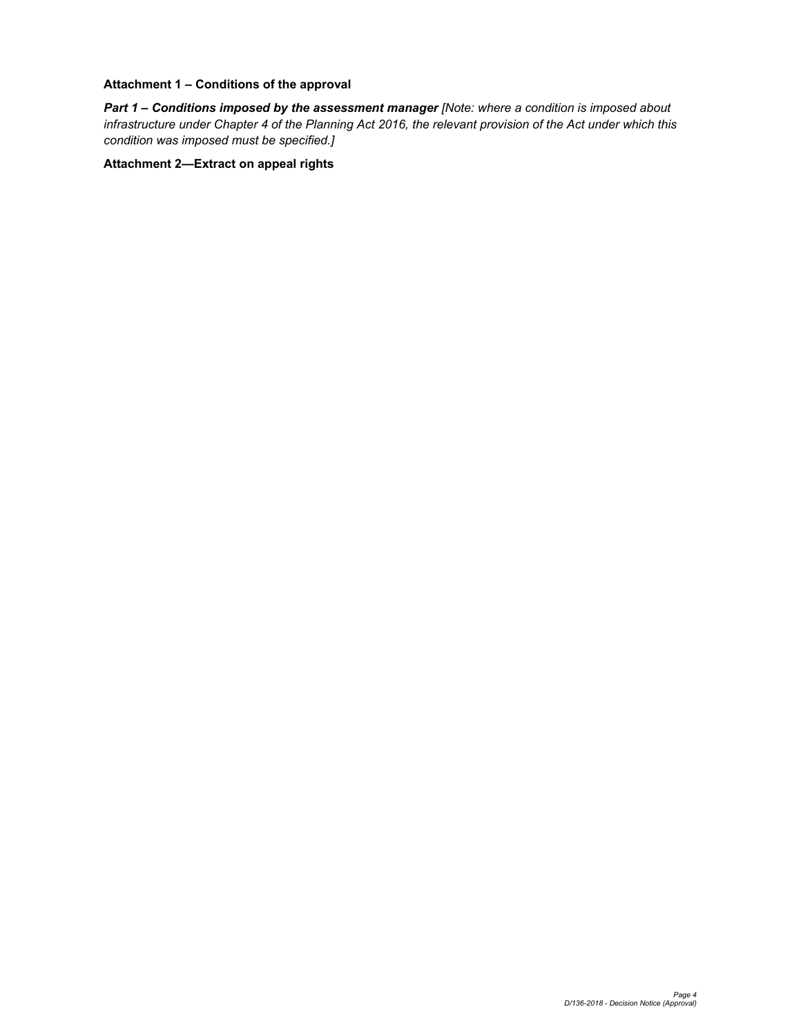#### **Attachment 1 – Conditions of the approval**

*Part 1* **–** *Conditions imposed by the assessment manager [Note: where a condition is imposed about infrastructure under Chapter 4 of the Planning Act 2016, the relevant provision of the Act under which this condition was imposed must be specified.]*

**Attachment 2—Extract on appeal rights**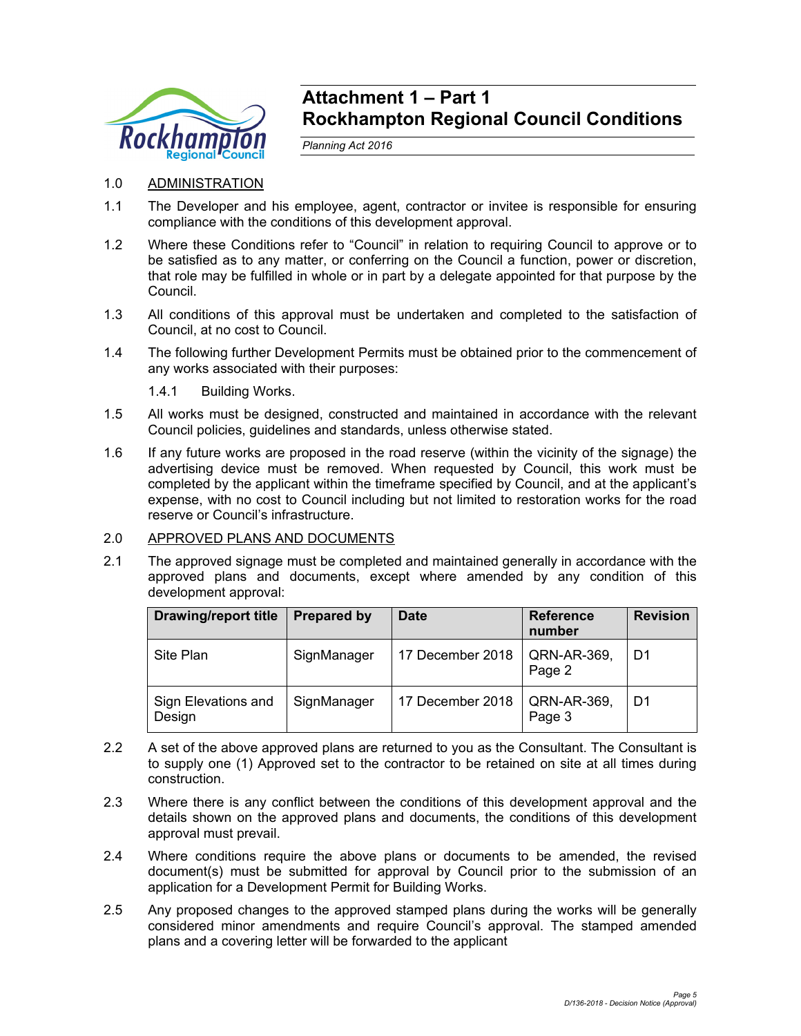

## **Attachment 1 – Part 1 Rockhampton Regional Council Conditions**

*Planning Act 2016* 

- 1.0 ADMINISTRATION
- 1.1 The Developer and his employee, agent, contractor or invitee is responsible for ensuring compliance with the conditions of this development approval.
- 1.2 Where these Conditions refer to "Council" in relation to requiring Council to approve or to be satisfied as to any matter, or conferring on the Council a function, power or discretion, that role may be fulfilled in whole or in part by a delegate appointed for that purpose by the Council.
- 1.3 All conditions of this approval must be undertaken and completed to the satisfaction of Council, at no cost to Council.
- 1.4 The following further Development Permits must be obtained prior to the commencement of any works associated with their purposes:

1.4.1 Building Works.

- 1.5 All works must be designed, constructed and maintained in accordance with the relevant Council policies, guidelines and standards, unless otherwise stated.
- 1.6 If any future works are proposed in the road reserve (within the vicinity of the signage) the advertising device must be removed. When requested by Council, this work must be completed by the applicant within the timeframe specified by Council, and at the applicant's expense, with no cost to Council including but not limited to restoration works for the road reserve or Council's infrastructure.

### 2.0 APPROVED PLANS AND DOCUMENTS

2.1 The approved signage must be completed and maintained generally in accordance with the approved plans and documents, except where amended by any condition of this development approval:

| <b>Drawing/report title</b>   | <b>Prepared by</b> | <b>Date</b>      | <b>Reference</b><br>number | <b>Revision</b> |
|-------------------------------|--------------------|------------------|----------------------------|-----------------|
| Site Plan                     | SignManager        | 17 December 2018 | QRN-AR-369,<br>Page 2      | D1              |
| Sign Elevations and<br>Design | SignManager        | 17 December 2018 | QRN-AR-369,<br>Page 3      | D1              |

- 2.2 A set of the above approved plans are returned to you as the Consultant. The Consultant is to supply one (1) Approved set to the contractor to be retained on site at all times during construction.
- 2.3 Where there is any conflict between the conditions of this development approval and the details shown on the approved plans and documents, the conditions of this development approval must prevail.
- 2.4 Where conditions require the above plans or documents to be amended, the revised document(s) must be submitted for approval by Council prior to the submission of an application for a Development Permit for Building Works.
- 2.5 Any proposed changes to the approved stamped plans during the works will be generally considered minor amendments and require Council's approval. The stamped amended plans and a covering letter will be forwarded to the applicant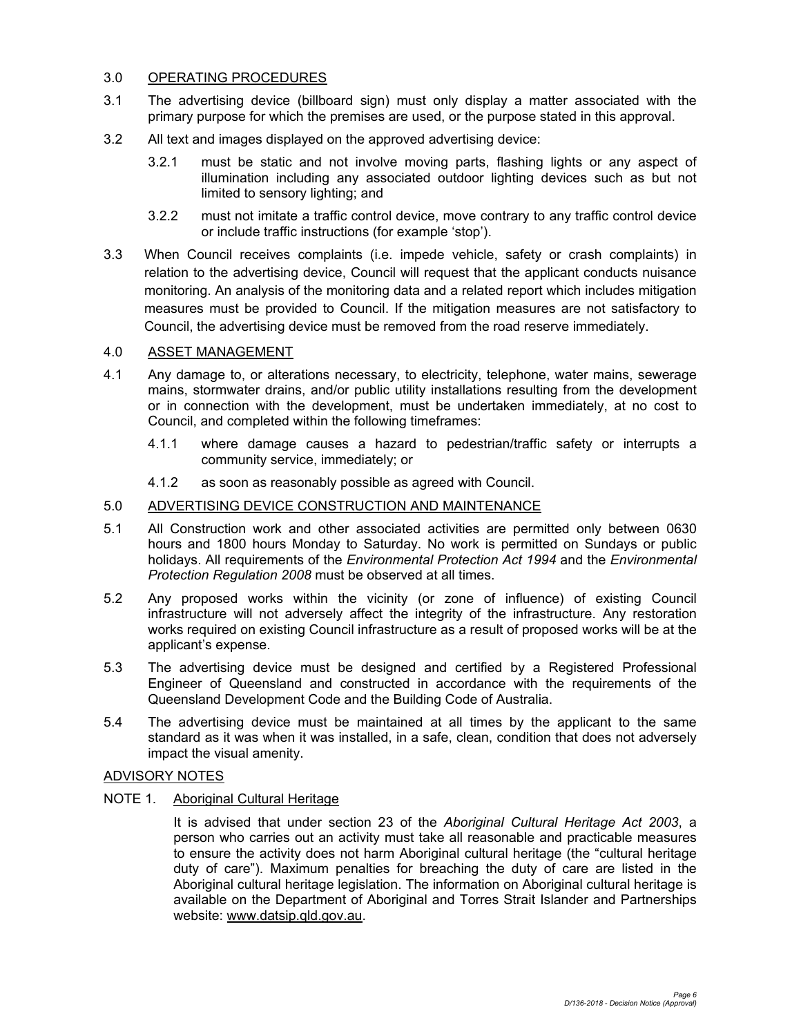#### 3.0 OPERATING PROCEDURES

- 3.1 The advertising device (billboard sign) must only display a matter associated with the primary purpose for which the premises are used, or the purpose stated in this approval.
- 3.2 All text and images displayed on the approved advertising device:
	- 3.2.1 must be static and not involve moving parts, flashing lights or any aspect of illumination including any associated outdoor lighting devices such as but not limited to sensory lighting; and
	- 3.2.2 must not imitate a traffic control device, move contrary to any traffic control device or include traffic instructions (for example 'stop').
- 3.3 When Council receives complaints (i.e. impede vehicle, safety or crash complaints) in relation to the advertising device, Council will request that the applicant conducts nuisance monitoring. An analysis of the monitoring data and a related report which includes mitigation measures must be provided to Council. If the mitigation measures are not satisfactory to Council, the advertising device must be removed from the road reserve immediately.

### 4.0 ASSET MANAGEMENT

- 4.1 Any damage to, or alterations necessary, to electricity, telephone, water mains, sewerage mains, stormwater drains, and/or public utility installations resulting from the development or in connection with the development, must be undertaken immediately, at no cost to Council, and completed within the following timeframes:
	- 4.1.1 where damage causes a hazard to pedestrian/traffic safety or interrupts a community service, immediately; or
	- 4.1.2 as soon as reasonably possible as agreed with Council.

#### 5.0 ADVERTISING DEVICE CONSTRUCTION AND MAINTENANCE

- 5.1 All Construction work and other associated activities are permitted only between 0630 hours and 1800 hours Monday to Saturday. No work is permitted on Sundays or public holidays. All requirements of the *Environmental Protection Act 1994* and the *Environmental Protection Regulation 2008* must be observed at all times.
- 5.2 Any proposed works within the vicinity (or zone of influence) of existing Council infrastructure will not adversely affect the integrity of the infrastructure. Any restoration works required on existing Council infrastructure as a result of proposed works will be at the applicant's expense.
- 5.3 The advertising device must be designed and certified by a Registered Professional Engineer of Queensland and constructed in accordance with the requirements of the Queensland Development Code and the Building Code of Australia.
- 5.4 The advertising device must be maintained at all times by the applicant to the same standard as it was when it was installed, in a safe, clean, condition that does not adversely impact the visual amenity.

#### ADVISORY NOTES

#### NOTE 1. Aboriginal Cultural Heritage

It is advised that under section 23 of the *Aboriginal Cultural Heritage Act 2003*, a person who carries out an activity must take all reasonable and practicable measures to ensure the activity does not harm Aboriginal cultural heritage (the "cultural heritage duty of care"). Maximum penalties for breaching the duty of care are listed in the Aboriginal cultural heritage legislation. The information on Aboriginal cultural heritage is available on the Department of Aboriginal and Torres Strait Islander and Partnerships website: www.datsip.qld.gov.au.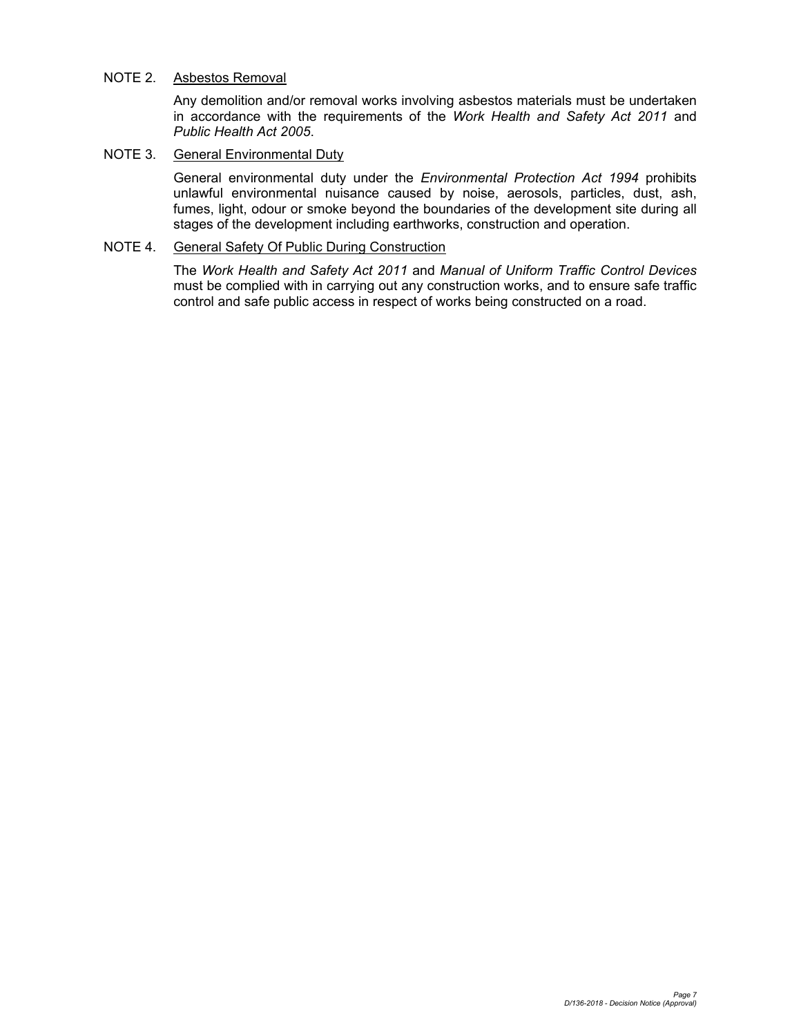#### NOTE 2. Asbestos Removal

Any demolition and/or removal works involving asbestos materials must be undertaken in accordance with the requirements of the *Work Health and Safety Act 2011* and *Public Health Act 2005*.

#### NOTE 3. General Environmental Duty

General environmental duty under the *Environmental Protection Act 1994* prohibits unlawful environmental nuisance caused by noise, aerosols, particles, dust, ash, fumes, light, odour or smoke beyond the boundaries of the development site during all stages of the development including earthworks, construction and operation.

#### NOTE 4. General Safety Of Public During Construction

The *Work Health and Safety Act 2011* and *Manual of Uniform Traffic Control Devices* must be complied with in carrying out any construction works, and to ensure safe traffic control and safe public access in respect of works being constructed on a road.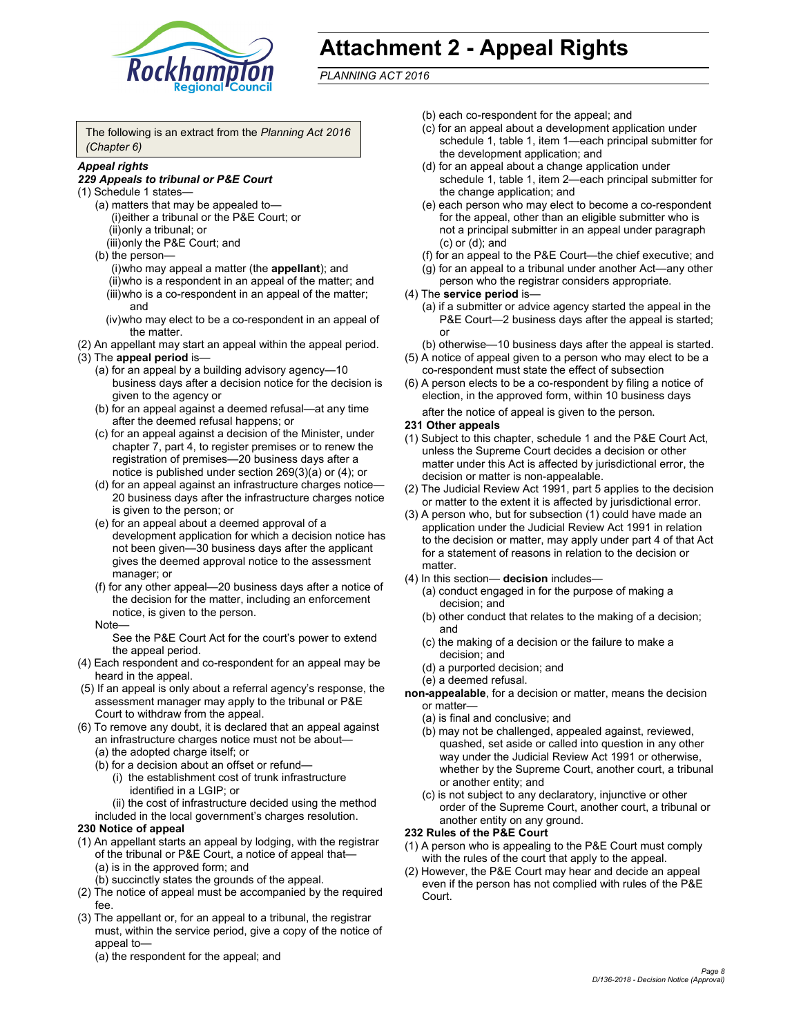

## **Attachment 2 - Appeal Rights**

*PLANNING ACT 2016*

The following is an extract from the *Planning Act 2016 (Chapter 6)*

#### *Appeal rights*

#### *229 Appeals to tribunal or P&E Court*

- (1) Schedule 1 states—
	- (a) matters that may be appealed to— (i) either a tribunal or the P&E Court; or (ii) only a tribunal; or (iii) only the P&E Court; and
	- (b) the person—
		- (i) who may appeal a matter (the **appellant**); and (ii) who is a respondent in an appeal of the matter; and (iii) who is a co-respondent in an appeal of the matter; and
		- (iv) who may elect to be a co-respondent in an appeal of the matter.
- (2) An appellant may start an appeal within the appeal period.
- (3) The **appeal period** is—
	- (a) for an appeal by a building advisory agency—10 business days after a decision notice for the decision is given to the agency or
	- (b) for an appeal against a deemed refusal—at any time after the deemed refusal happens; or
	- (c) for an appeal against a decision of the Minister, under chapter 7, part 4, to register premises or to renew the registration of premises—20 business days after a notice is published under section 269(3)(a) or (4); or
	- (d) for an appeal against an infrastructure charges notice— 20 business days after the infrastructure charges notice is given to the person; or
	- (e) for an appeal about a deemed approval of a development application for which a decision notice has not been given—30 business days after the applicant gives the deemed approval notice to the assessment manager; or
	- (f) for any other appeal—20 business days after a notice of the decision for the matter, including an enforcement notice, is given to the person.

#### Note—

See the P&E Court Act for the court's power to extend the appeal period.

- (4) Each respondent and co-respondent for an appeal may be heard in the appeal.
- (5) If an appeal is only about a referral agency's response, the assessment manager may apply to the tribunal or P&E Court to withdraw from the appeal.
- (6) To remove any doubt, it is declared that an appeal against an infrastructure charges notice must not be about— (a) the adopted charge itself; or
	- (b) for a decision about an offset or refund—
		- (i) the establishment cost of trunk infrastructure identified in a LGIP; or
		- (ii) the cost of infrastructure decided using the method
	- included in the local government's charges resolution.

#### **230 Notice of appeal**

- (1) An appellant starts an appeal by lodging, with the registrar of the tribunal or P&E Court, a notice of appeal that—
	- (a) is in the approved form; and
	- (b) succinctly states the grounds of the appeal.
- (2) The notice of appeal must be accompanied by the required fee.
- (3) The appellant or, for an appeal to a tribunal, the registrar must, within the service period, give a copy of the notice of appeal to—
	- (a) the respondent for the appeal; and
- (b) each co-respondent for the appeal; and
- (c) for an appeal about a development application under schedule 1, table 1, item 1—each principal submitter for the development application; and
- (d) for an appeal about a change application under schedule 1, table 1, item 2—each principal submitter for the change application; and
- (e) each person who may elect to become a co-respondent for the appeal, other than an eligible submitter who is not a principal submitter in an appeal under paragraph (c) or (d); and
- (f) for an appeal to the P&E Court—the chief executive; and
- (g) for an appeal to a tribunal under another Act—any other
- person who the registrar considers appropriate.
- (4) The **service period** is—
	- (a) if a submitter or advice agency started the appeal in the P&E Court—2 business days after the appeal is started; or

(b) otherwise—10 business days after the appeal is started.

- (5) A notice of appeal given to a person who may elect to be a co-respondent must state the effect of subsection
- (6) A person elects to be a co-respondent by filing a notice of election, in the approved form, within 10 business days
	- after the notice of appeal is given to the person*.*
- **231 Other appeals**
- (1) Subject to this chapter, schedule 1 and the P&E Court Act, unless the Supreme Court decides a decision or other matter under this Act is affected by jurisdictional error, the decision or matter is non-appealable.
- (2) The Judicial Review Act 1991, part 5 applies to the decision or matter to the extent it is affected by jurisdictional error.
- (3) A person who, but for subsection (1) could have made an application under the Judicial Review Act 1991 in relation to the decision or matter, may apply under part 4 of that Act for a statement of reasons in relation to the decision or matter.
- (4) In this section— **decision** includes—
	- (a) conduct engaged in for the purpose of making a decision; and
	- (b) other conduct that relates to the making of a decision; and
	- (c) the making of a decision or the failure to make a decision; and
	- (d) a purported decision; and
	- (e) a deemed refusal.
- **non-appealable**, for a decision or matter, means the decision or matter—
	- (a) is final and conclusive; and
	- (b) may not be challenged, appealed against, reviewed, quashed, set aside or called into question in any other way under the Judicial Review Act 1991 or otherwise, whether by the Supreme Court, another court, a tribunal or another entity; and
	- (c) is not subject to any declaratory, injunctive or other order of the Supreme Court, another court, a tribunal or another entity on any ground.

#### **232 Rules of the P&E Court**

- (1) A person who is appealing to the P&E Court must comply with the rules of the court that apply to the appeal.
- (2) However, the P&E Court may hear and decide an appeal even if the person has not complied with rules of the P&E Court.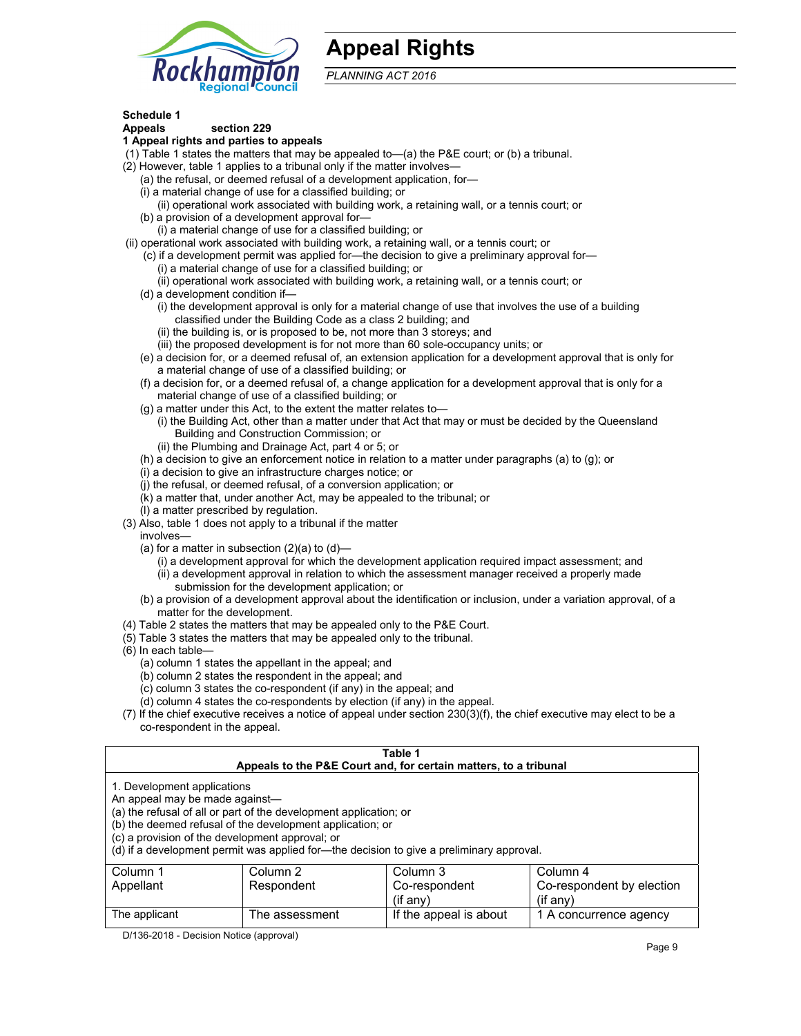## **Appeal Rights**



*PLANNING ACT 2016*

#### **Schedule 1**

#### **Appeals section 229 1 Appeal rights and parties to appeals**

- (1) Table 1 states the matters that may be appealed to—(a) the P&E court; or (b) a tribunal.
- (2) However, table 1 applies to a tribunal only if the matter involves—
	- (a) the refusal, or deemed refusal of a development application, for—
	- (i) a material change of use for a classified building; or
	- (ii) operational work associated with building work, a retaining wall, or a tennis court; or
	- (b) a provision of a development approval for— (i) a material change of use for a classified building; or
- (ii) operational work associated with building work, a retaining wall, or a tennis court; or
	- (c) if a development permit was applied for—the decision to give a preliminary approval for— (i) a material change of use for a classified building; or
	- (ii) operational work associated with building work, a retaining wall, or a tennis court; or
	- (d) a development condition if—
		- (i) the development approval is only for a material change of use that involves the use of a building classified under the Building Code as a class 2 building; and
		- (ii) the building is, or is proposed to be, not more than 3 storeys; and
		- (iii) the proposed development is for not more than 60 sole-occupancy units; or
	- (e) a decision for, or a deemed refusal of, an extension application for a development approval that is only for a material change of use of a classified building; or
	- (f) a decision for, or a deemed refusal of, a change application for a development approval that is only for a material change of use of a classified building; or
	- (g) a matter under this Act, to the extent the matter relates to—
		- (i) the Building Act, other than a matter under that Act that may or must be decided by the Queensland Building and Construction Commission; or
			- (ii) the Plumbing and Drainage Act, part 4 or 5; or
	- (h) a decision to give an enforcement notice in relation to a matter under paragraphs (a) to (g); or
	- (i) a decision to give an infrastructure charges notice; or
	- (j) the refusal, or deemed refusal, of a conversion application; or
	- (k) a matter that, under another Act, may be appealed to the tribunal; or
	- (l) a matter prescribed by regulation.
- (3) Also, table 1 does not apply to a tribunal if the matter

involves—

- (a) for a matter in subsection  $(2)(a)$  to  $(d)$ 
	- (i) a development approval for which the development application required impact assessment; and
	- (ii) a development approval in relation to which the assessment manager received a properly made submission for the development application; or
- (b) a provision of a development approval about the identification or inclusion, under a variation approval, of a matter for the development.
- (4) Table 2 states the matters that may be appealed only to the P&E Court.
- (5) Table 3 states the matters that may be appealed only to the tribunal.
- (6) In each table—
	- (a) column 1 states the appellant in the appeal; and
	- (b) column 2 states the respondent in the appeal; and
	- (c) column 3 states the co-respondent (if any) in the appeal; and
	- (d) column 4 states the co-respondents by election (if any) in the appeal.
- (7) If the chief executive receives a notice of appeal under section 230(3)(f), the chief executive may elect to be a co-respondent in the appeal.

| Table 1<br>Appeals to the P&E Court and, for certain matters, to a tribunal                                                                                                                                                                                                                                                                    |                |                        |                        |  |  |
|------------------------------------------------------------------------------------------------------------------------------------------------------------------------------------------------------------------------------------------------------------------------------------------------------------------------------------------------|----------------|------------------------|------------------------|--|--|
| 1. Development applications<br>An appeal may be made against-<br>(a) the refusal of all or part of the development application; or<br>(b) the deemed refusal of the development application; or<br>(c) a provision of the development approval; or<br>(d) if a development permit was applied for—the decision to give a preliminary approval. |                |                        |                        |  |  |
| Column 2<br>Column 1<br>Column 3<br>Column 4<br>Respondent<br>Co-respondent by election<br>Co-respondent<br>Appellant<br>$(if$ any)<br>$($ if any $)$                                                                                                                                                                                          |                |                        |                        |  |  |
| The applicant                                                                                                                                                                                                                                                                                                                                  | The assessment | If the appeal is about | 1 A concurrence agency |  |  |

D/136-2018 - Decision Notice (approval)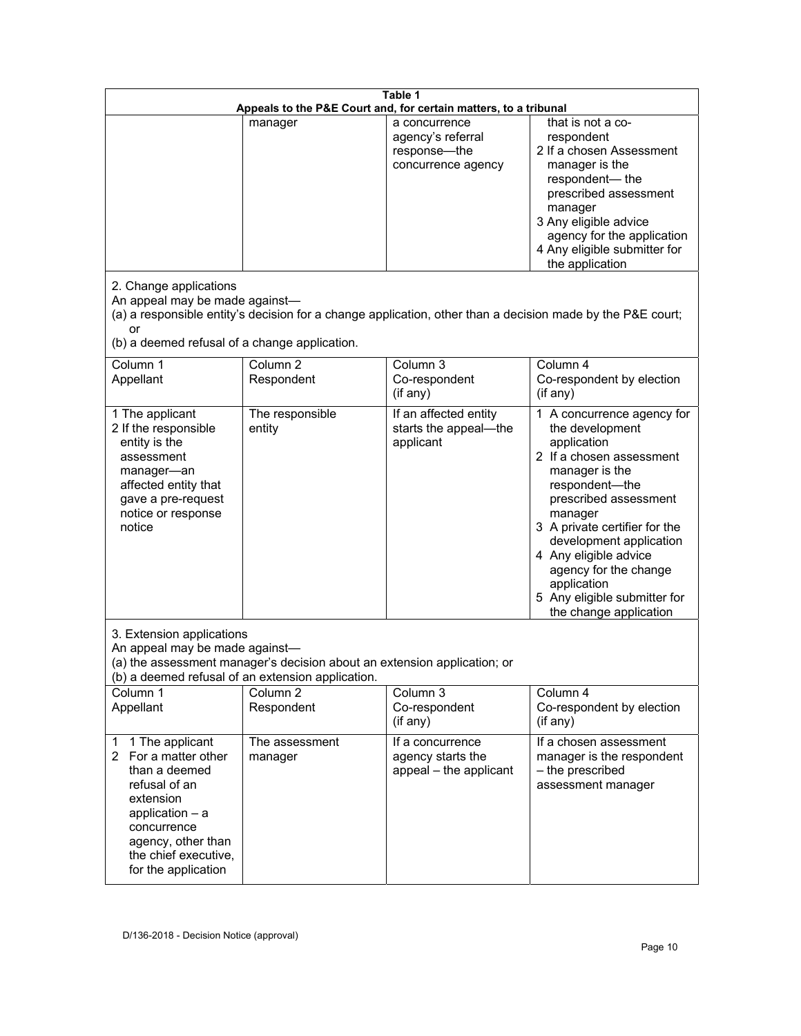| Table 1<br>Appeals to the P&E Court and, for certain matters, to a tribunal                                                                                                                                  |                                   |                                                                          |                                                                                                                                                                                                                                                                                                                                                         |
|--------------------------------------------------------------------------------------------------------------------------------------------------------------------------------------------------------------|-----------------------------------|--------------------------------------------------------------------------|---------------------------------------------------------------------------------------------------------------------------------------------------------------------------------------------------------------------------------------------------------------------------------------------------------------------------------------------------------|
|                                                                                                                                                                                                              | manager                           | a concurrence<br>agency's referral<br>response-the<br>concurrence agency | that is not a co-<br>respondent<br>2 If a chosen Assessment<br>manager is the<br>respondent-the<br>prescribed assessment<br>manager<br>3 Any eligible advice<br>agency for the application<br>4 Any eligible submitter for<br>the application                                                                                                           |
| 2. Change applications<br>An appeal may be made against-<br>or<br>(b) a deemed refusal of a change application.                                                                                              |                                   |                                                                          | (a) a responsible entity's decision for a change application, other than a decision made by the P&E court;                                                                                                                                                                                                                                              |
| Column 1<br>Appellant                                                                                                                                                                                        | Column <sub>2</sub><br>Respondent | Column 3<br>Co-respondent<br>(if any)                                    | Column 4<br>Co-respondent by election<br>(if any)                                                                                                                                                                                                                                                                                                       |
| 1 The applicant<br>2 If the responsible<br>entity is the<br>assessment<br>manager-an<br>affected entity that<br>gave a pre-request<br>notice or response<br>notice                                           | The responsible<br>entity         | If an affected entity<br>starts the appeal-the<br>applicant              | 1 A concurrence agency for<br>the development<br>application<br>2 If a chosen assessment<br>manager is the<br>respondent-the<br>prescribed assessment<br>manager<br>3 A private certifier for the<br>development application<br>4 Any eligible advice<br>agency for the change<br>application<br>5 Any eligible submitter for<br>the change application |
| 3. Extension applications<br>An appeal may be made against-<br>(a) the assessment manager's decision about an extension application; or<br>(b) a deemed refusal of an extension application.                 |                                   |                                                                          |                                                                                                                                                                                                                                                                                                                                                         |
| Column 1<br>Appellant                                                                                                                                                                                        | Column <sub>2</sub><br>Respondent | Column 3<br>Co-respondent<br>(if any)                                    | Column 4<br>Co-respondent by election<br>(if any)                                                                                                                                                                                                                                                                                                       |
| 1 The applicant<br>$\mathbf 1$<br>2 For a matter other<br>than a deemed<br>refusal of an<br>extension<br>application - a<br>concurrence<br>agency, other than<br>the chief executive,<br>for the application | The assessment<br>manager         | If a concurrence<br>agency starts the<br>appeal - the applicant          | If a chosen assessment<br>manager is the respondent<br>- the prescribed<br>assessment manager                                                                                                                                                                                                                                                           |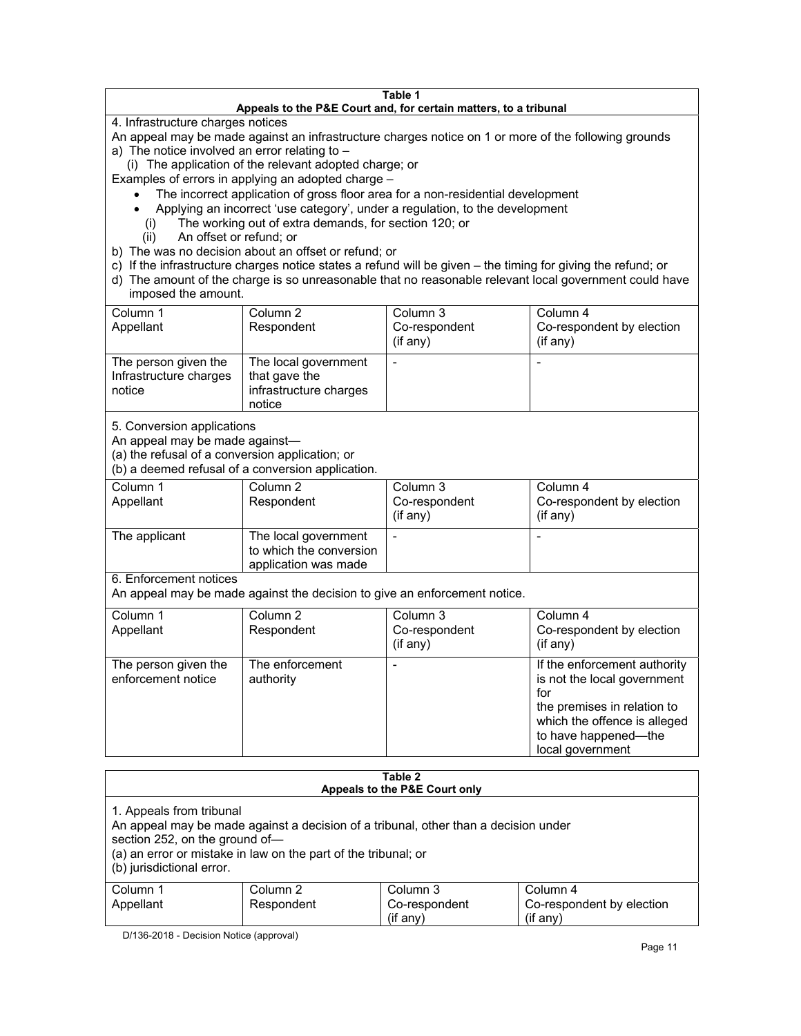#### **Table 1 Appeals to the P&E Court and, for certain matters, to a tribunal** 4. Infrastructure charges notices An appeal may be made against an infrastructure charges notice on 1 or more of the following grounds a) The notice involved an error relating to – (i) The application of the relevant adopted charge; or Examples of errors in applying an adopted charge – The incorrect application of gross floor area for a non-residential development Applying an incorrect 'use category', under a regulation, to the development (i) The working out of extra demands, for section 120; or (ii) An offset or refund; or b) The was no decision about an offset or refund; or c) If the infrastructure charges notice states a refund will be given – the timing for giving the refund; or d) The amount of the charge is so unreasonable that no reasonable relevant local government could have imposed the amount. Column 1 Appellant Column 2 Respondent Column 3 Co-respondent (if any) Column 4 Co-respondent by election (if any) The person given the Infrastructure charges notice The local government that gave the infrastructure charges notice - -

5. Conversion applications

An appeal may be made against—

(a) the refusal of a conversion application; or

(b) a deemed refusal of a conversion application.

| Column 1      | Column 2                | Column 3       | Column 4                  |
|---------------|-------------------------|----------------|---------------------------|
| Appellant     | Respondent              | Co-respondent  | Co-respondent by election |
|               |                         | $(i$ f any $)$ | (i f any)                 |
|               |                         |                |                           |
| The applicant | The local government    |                |                           |
|               | to which the conversion |                |                           |
|               | application was made    |                |                           |

6. Enforcement notices

An appeal may be made against the decision to give an enforcement notice.

| Column 1<br>Appellant                      | Column 2<br>Respondent       | Column 3<br>Co-respondent<br>(if any) | Column 4<br>Co-respondent by election<br>(if any)                                                                                                                             |
|--------------------------------------------|------------------------------|---------------------------------------|-------------------------------------------------------------------------------------------------------------------------------------------------------------------------------|
| The person given the<br>enforcement notice | The enforcement<br>authority |                                       | If the enforcement authority<br>is not the local government<br>for<br>the premises in relation to<br>which the offence is alleged<br>to have happened-the<br>local government |

| Table 2<br>Appeals to the P&E Court only                                                                                                                                                                                                         |                        |                                         |                                                   |  |
|--------------------------------------------------------------------------------------------------------------------------------------------------------------------------------------------------------------------------------------------------|------------------------|-----------------------------------------|---------------------------------------------------|--|
| 1. Appeals from tribunal<br>An appeal may be made against a decision of a tribunal, other than a decision under<br>section 252, on the ground of-<br>(a) an error or mistake in law on the part of the tribunal; or<br>(b) jurisdictional error. |                        |                                         |                                                   |  |
| Column 1<br>Appellant                                                                                                                                                                                                                            | Column 2<br>Respondent | Column 3<br>Co-respondent<br>(i f an v) | Column 4<br>Co-respondent by election<br>(if any) |  |

D/136-2018 - Decision Notice (approval)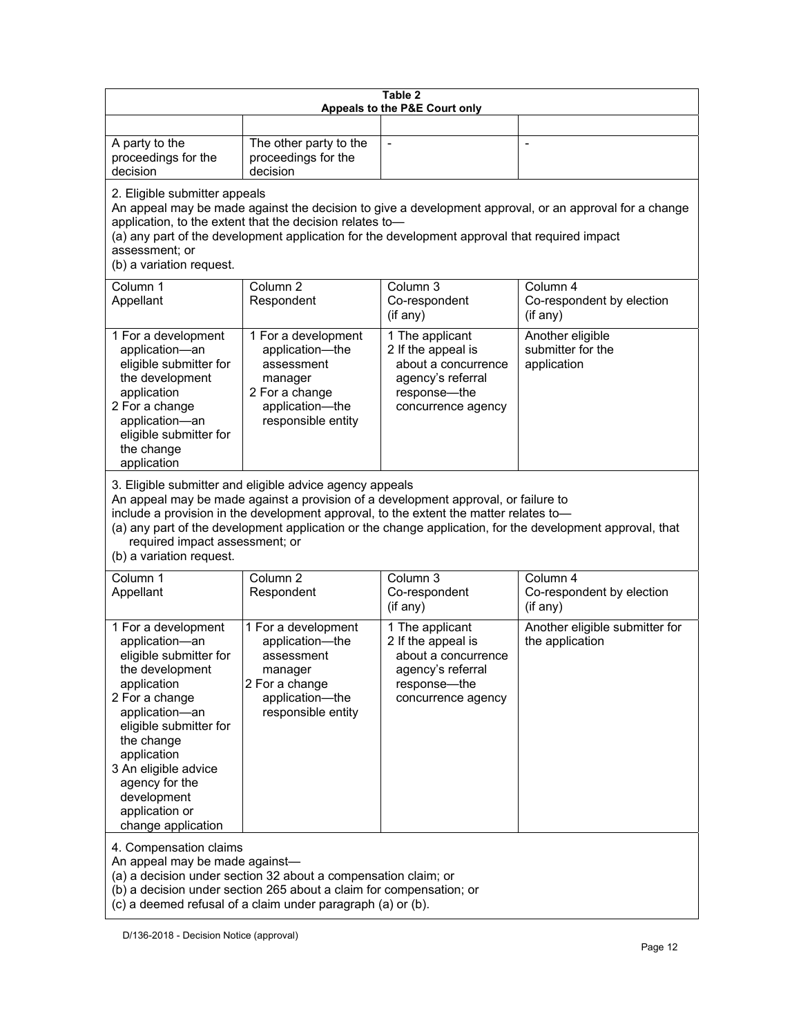| Table 2<br>Appeals to the P&E Court only                                                                                                                                                                                                                                                                                                                                                                           |                                                                                                                            |                                                                                                                           |                                                      |  |
|--------------------------------------------------------------------------------------------------------------------------------------------------------------------------------------------------------------------------------------------------------------------------------------------------------------------------------------------------------------------------------------------------------------------|----------------------------------------------------------------------------------------------------------------------------|---------------------------------------------------------------------------------------------------------------------------|------------------------------------------------------|--|
|                                                                                                                                                                                                                                                                                                                                                                                                                    |                                                                                                                            |                                                                                                                           |                                                      |  |
| A party to the<br>proceedings for the<br>decision                                                                                                                                                                                                                                                                                                                                                                  | The other party to the<br>proceedings for the<br>decision                                                                  | $\blacksquare$                                                                                                            | $\overline{a}$                                       |  |
| 2. Eligible submitter appeals<br>An appeal may be made against the decision to give a development approval, or an approval for a change<br>application, to the extent that the decision relates to-<br>(a) any part of the development application for the development approval that required impact<br>assessment; or<br>(b) a variation request.                                                                 |                                                                                                                            |                                                                                                                           |                                                      |  |
| Column 1<br>Appellant                                                                                                                                                                                                                                                                                                                                                                                              | Column 2<br>Respondent                                                                                                     | Column 3<br>Co-respondent<br>(if any)                                                                                     | Column 4<br>Co-respondent by election<br>(if any)    |  |
| 1 For a development<br>application-an<br>eligible submitter for<br>the development<br>application<br>2 For a change<br>application-an<br>eligible submitter for<br>the change<br>application                                                                                                                                                                                                                       | 1 For a development<br>application-the<br>assessment<br>manager<br>2 For a change<br>application-the<br>responsible entity | 1 The applicant<br>2 If the appeal is<br>about a concurrence<br>agency's referral<br>response---the<br>concurrence agency | Another eligible<br>submitter for the<br>application |  |
| 3. Eligible submitter and eligible advice agency appeals<br>An appeal may be made against a provision of a development approval, or failure to<br>include a provision in the development approval, to the extent the matter relates to-<br>(a) any part of the development application or the change application, for the development approval, that<br>required impact assessment; or<br>(b) a variation request. |                                                                                                                            |                                                                                                                           |                                                      |  |
| Column 1<br>Appellant                                                                                                                                                                                                                                                                                                                                                                                              | Column <sub>2</sub><br>Respondent                                                                                          | Column 3<br>Co-respondent<br>(if any)                                                                                     | Column 4<br>Co-respondent by election<br>(if any)    |  |
| 1 For a development<br>application-an<br>eligible submitter for<br>the development<br>application<br>2 For a change<br>application-an<br>eligible submitter for<br>the change<br>application<br>3 An eligible advice<br>agency for the<br>development<br>application or<br>change application                                                                                                                      | 1 For a development<br>application-the<br>assessment<br>manager<br>2 For a change<br>application-the<br>responsible entity | 1 The applicant<br>2 If the appeal is<br>about a concurrence<br>agency's referral<br>response-the<br>concurrence agency   | Another eligible submitter for<br>the application    |  |
| 4. Compensation claims<br>An appeal may be made against-                                                                                                                                                                                                                                                                                                                                                           |                                                                                                                            |                                                                                                                           |                                                      |  |

(a) a decision under section 32 about a compensation claim; or

(b) a decision under section 265 about a claim for compensation; or

(c) a deemed refusal of a claim under paragraph (a) or (b).

D/136-2018 - Decision Notice (approval)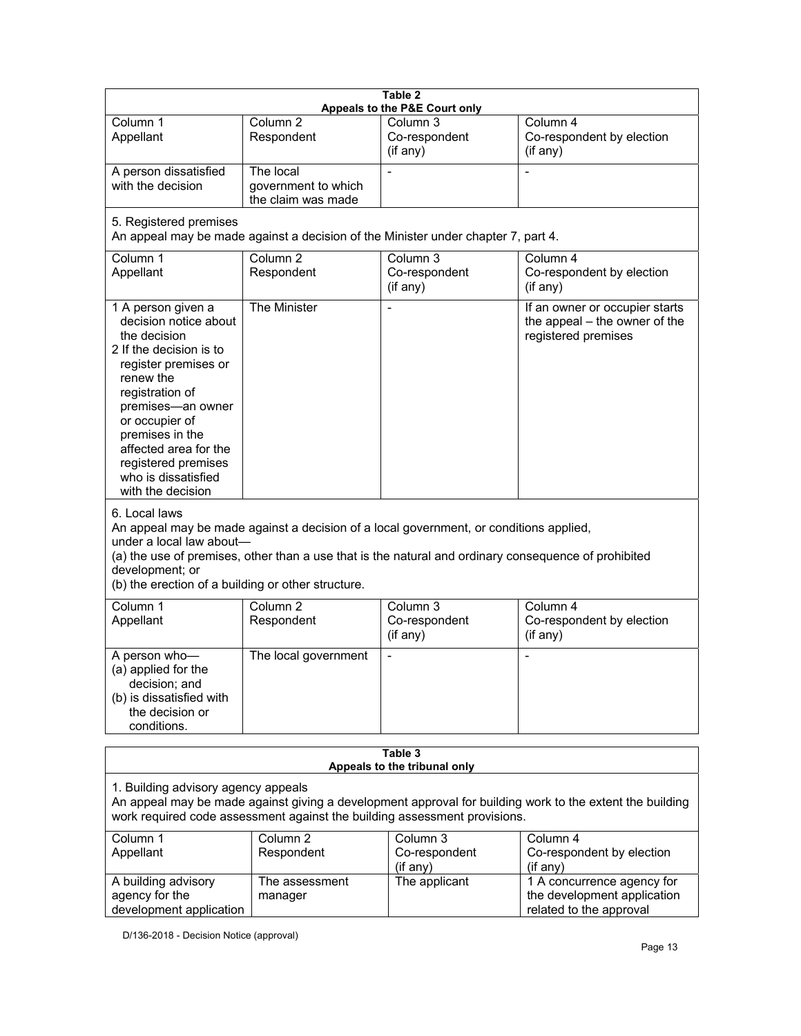| Table 2<br>Appeals to the P&E Court only                                                                                                                                                                                                                                                                             |                                                        |                                                                                   |                                                                                          |  |
|----------------------------------------------------------------------------------------------------------------------------------------------------------------------------------------------------------------------------------------------------------------------------------------------------------------------|--------------------------------------------------------|-----------------------------------------------------------------------------------|------------------------------------------------------------------------------------------|--|
| Column 1<br>Appellant                                                                                                                                                                                                                                                                                                | Column 2<br>Respondent                                 | Column 3<br>Co-respondent<br>(if any)                                             | Column 4<br>Co-respondent by election<br>(if any)                                        |  |
| A person dissatisfied<br>with the decision                                                                                                                                                                                                                                                                           | The local<br>government to which<br>the claim was made |                                                                                   |                                                                                          |  |
| 5. Registered premises                                                                                                                                                                                                                                                                                               |                                                        | An appeal may be made against a decision of the Minister under chapter 7, part 4. |                                                                                          |  |
| Column 1<br>Appellant                                                                                                                                                                                                                                                                                                | Column <sub>2</sub><br>Respondent                      | Column <sub>3</sub><br>Co-respondent<br>(if any)                                  | Column 4<br>Co-respondent by election<br>(if any)                                        |  |
| 1 A person given a<br>decision notice about<br>the decision<br>2 If the decision is to<br>register premises or<br>renew the<br>registration of<br>premises-an owner<br>or occupier of<br>premises in the<br>affected area for the<br>registered premises<br>who is dissatisfied<br>with the decision                 | The Minister                                           |                                                                                   | If an owner or occupier starts<br>the appeal $-$ the owner of the<br>registered premises |  |
| 6. Local laws<br>An appeal may be made against a decision of a local government, or conditions applied,<br>under a local law about-<br>(a) the use of premises, other than a use that is the natural and ordinary consequence of prohibited<br>development; or<br>(b) the erection of a building or other structure. |                                                        |                                                                                   |                                                                                          |  |
| Column 1<br>Appellant                                                                                                                                                                                                                                                                                                | Column <sub>2</sub><br>Respondent                      | Column 3<br>Co-respondent<br>(if any)                                             | Column 4<br>Co-respondent by election<br>(if any)                                        |  |
| A person who-<br>(a) applied for the<br>decision; and<br>(b) is dissatisfied with<br>the decision or<br>conditions.                                                                                                                                                                                                  | The local government                                   | $\overline{\phantom{0}}$                                                          |                                                                                          |  |
| Table 3                                                                                                                                                                                                                                                                                                              |                                                        |                                                                                   |                                                                                          |  |
| Appeals to the tribunal only                                                                                                                                                                                                                                                                                         |                                                        |                                                                                   |                                                                                          |  |
| 1. Building advisory agency appeals<br>An appeal may be made against giving a development approval for building work to the extent the building<br>work required code assessment against the building assessment provisions.                                                                                         |                                                        |                                                                                   |                                                                                          |  |
| Column 1                                                                                                                                                                                                                                                                                                             | $\overline{\text{Column}}$ 2                           | Column 3                                                                          | Column 4                                                                                 |  |
| Appellant                                                                                                                                                                                                                                                                                                            | Respondent                                             | Co-respondent                                                                     | Co-respondent by election                                                                |  |
| A building advisory                                                                                                                                                                                                                                                                                                  | The assessment                                         | (if any)<br>The applicant                                                         | (i f any)<br>1 A concurrence agency for                                                  |  |

D/136-2018 - Decision Notice (approval)

manager

A building advisory agency for the

development application

the development application related to the approval